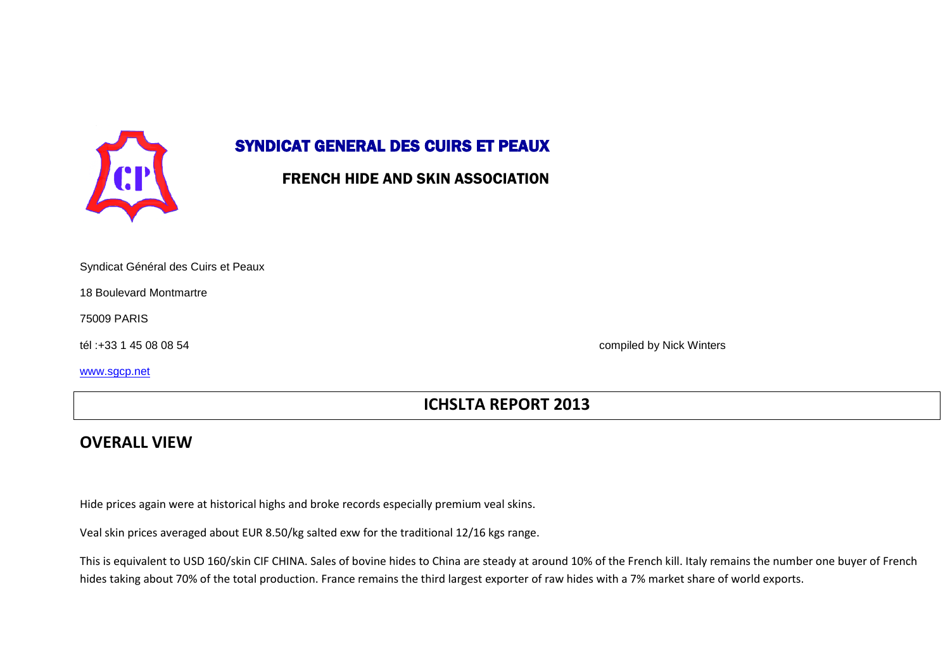

## SYNDICAT GENERAL DES CUIRS ET PEAUX

#### FRENCH HIDE AND SKIN ASSOCIATION

| Syndicat Général des Cuirs et Peaux |  |
|-------------------------------------|--|
| 18 Boulevard Montmartre             |  |
| 75009 PARIS                         |  |

[www.sgcp.net](http://www.sgcp.net/)

tél :+33 1 45 08 08 54 compiled by Nick Winters

### **ICHSLTA REPORT 2013**

#### **OVERALL VIEW**

Hide prices again were at historical highs and broke records especially premium veal skins.

Veal skin prices averaged about EUR 8.50/kg salted exw for the traditional 12/16 kgs range.

This is equivalent to USD 160/skin CIF CHINA. Sales of bovine hides to China are steady at around 10% of the French kill. Italy remains the number one buyer of French hides taking about 70% of the total production. France remains the third largest exporter of raw hides with a 7% market share of world exports.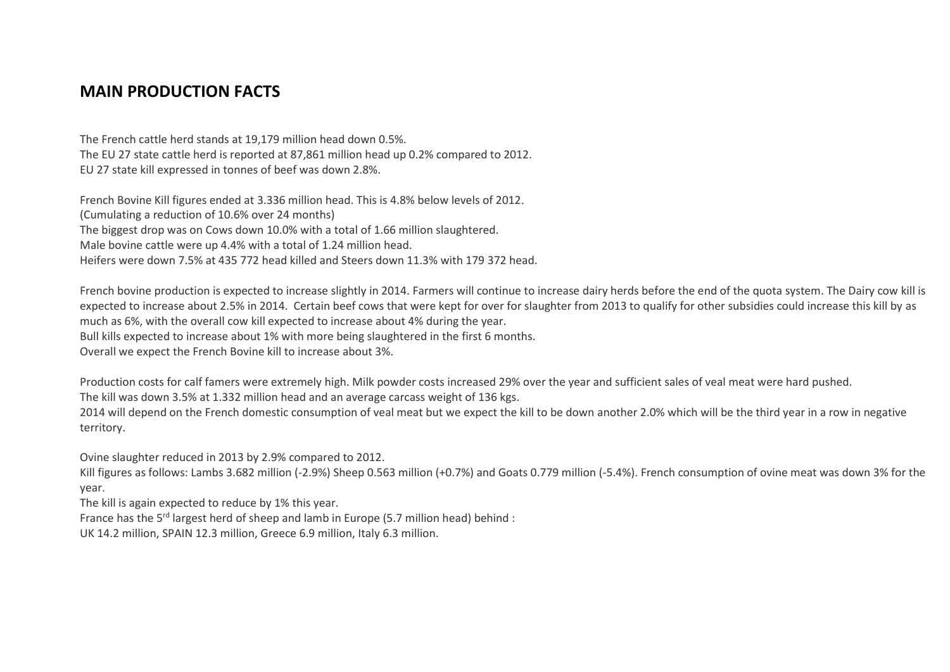#### **MAIN PRODUCTION FACTS**

The French cattle herd stands at 19,179 million head down 0.5%. The EU 27 state cattle herd is reported at 87,861 million head up 0.2% compared to 2012. EU 27 state kill expressed in tonnes of beef was down 2.8%.

French Bovine Kill figures ended at 3.336 million head. This is 4.8% below levels of 2012. (Cumulating a reduction of 10.6% over 24 months) The biggest drop was on Cows down 10.0% with a total of 1.66 million slaughtered. Male bovine cattle were up 4.4% with a total of 1.24 million head. Heifers were down 7.5% at 435 772 head killed and Steers down 11.3% with 179 372 head.

French bovine production is expected to increase slightly in 2014. Farmers will continue to increase dairy herds before the end of the quota system. The Dairy cow kill is expected to increase about 2.5% in 2014. Certain beef cows that were kept for over for slaughter from 2013 to qualify for other subsidies could increase this kill by as much as 6%, with the overall cow kill expected to increase about 4% during the year. Bull kills expected to increase about 1% with more being slaughtered in the first 6 months.

Overall we expect the French Bovine kill to increase about 3%.

Production costs for calf famers were extremely high. Milk powder costs increased 29% over the year and sufficient sales of veal meat were hard pushed. The kill was down 3.5% at 1.332 million head and an average carcass weight of 136 kgs.

2014 will depend on the French domestic consumption of veal meat but we expect the kill to be down another 2.0% which will be the third year in a row in negative territory.

Ovine slaughter reduced in 2013 by 2.9% compared to 2012.

Kill figures as follows: Lambs 3.682 million (-2.9%) Sheep 0.563 million (+0.7%) and Goats 0.779 million (-5.4%). French consumption of ovine meat was down 3% for the year.

The kill is again expected to reduce by 1% this year.

France has the 5<sup>rd</sup> largest herd of sheep and lamb in Europe (5.7 million head) behind :

UK 14.2 million, SPAIN 12.3 million, Greece 6.9 million, Italy 6.3 million.